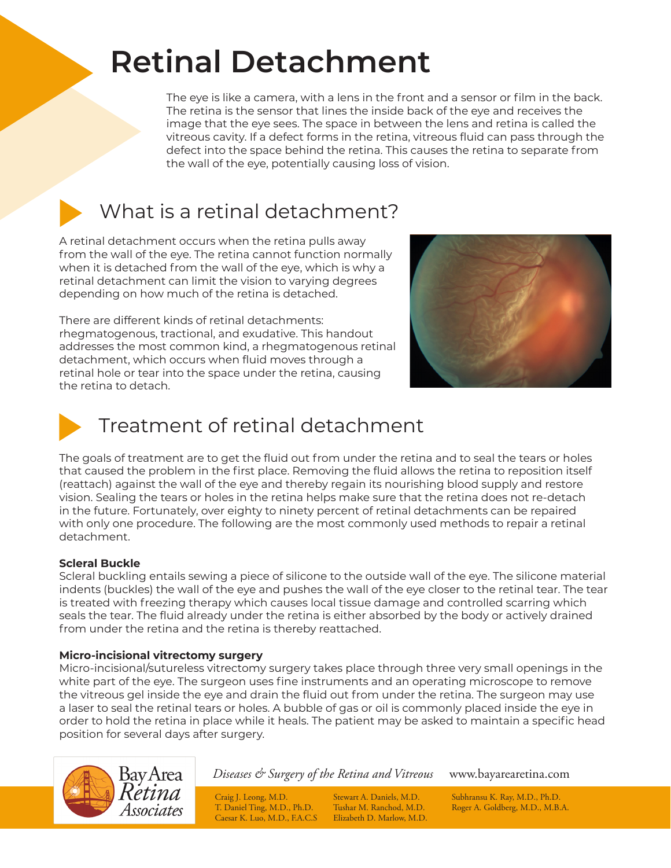# **Retinal Detachment**

The eye is like a camera, with a lens in the front and a sensor or film in the back. The retina is the sensor that lines the inside back of the eye and receives the image that the eye sees. The space in between the lens and retina is called the vitreous cavity. If a defect forms in the retina, vitreous fluid can pass through the defect into the space behind the retina. This causes the retina to separate from the wall of the eye, potentially causing loss of vision.



### What is a retinal detachment?

A retinal detachment occurs when the retina pulls away from the wall of the eye. The retina cannot function normally when it is detached from the wall of the eye, which is why a retinal detachment can limit the vision to varying degrees depending on how much of the retina is detached.

There are different kinds of retinal detachments: rhegmatogenous, tractional, and exudative. This handout addresses the most common kind, a rhegmatogenous retinal detachment, which occurs when fluid moves through a retinal hole or tear into the space under the retina, causing the retina to detach.





## Treatment of retinal detachment

The goals of treatment are to get the fluid out from under the retina and to seal the tears or holes that caused the problem in the first place. Removing the fluid allows the retina to reposition itself (reattach) against the wall of the eye and thereby regain its nourishing blood supply and restore vision. Sealing the tears or holes in the retina helps make sure that the retina does not re-detach in the future. Fortunately, over eighty to ninety percent of retinal detachments can be repaired with only one procedure. The following are the most commonly used methods to repair a retinal detachment.

#### **Scleral Buckle**

Scleral buckling entails sewing a piece of silicone to the outside wall of the eye. The silicone material indents (buckles) the wall of the eye and pushes the wall of the eye closer to the retinal tear. The tear is treated with freezing therapy which causes local tissue damage and controlled scarring which seals the tear. The fluid already under the retina is either absorbed by the body or actively drained from under the retina and the retina is thereby reattached.

#### **Micro-incisional vitrectomy surgery**

Micro-incisional/sutureless vitrectomy surgery takes place through three very small openings in the white part of the eye. The surgeon uses fine instruments and an operating microscope to remove the vitreous gel inside the eye and drain the fluid out from under the retina. The surgeon may use a laser to seal the retinal tears or holes. A bubble of gas or oil is commonly placed inside the eye in order to hold the retina in place while it heals. The patient may be asked to maintain a specific head position for several days after surgery.



*Diseases & Surgery of the Retina and Vitreous* www.bayarearetina.com

Caesar K. Luo, M.D., F.A.C.S Elizabeth D. Marlow, M.D.

Craig J. Leong, M.D. Stewart A. Daniels, M.D. Subhransu K. Ray, M.D., Ph.D.<br>T. Daniel Ting, M.D., Ph.D. Tushar M. Ranchod, M.D. Roger A. Goldberg, M.D., M.B. Roger A. Goldberg, M.D., M.B.A.